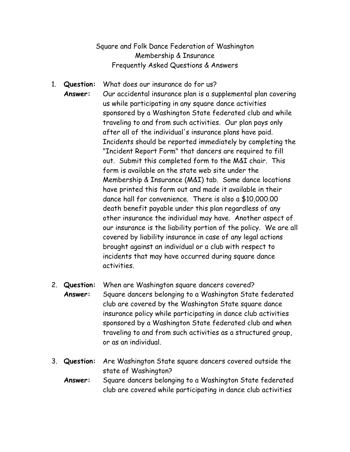## Square and Folk Dance Federation of Washington Membership & Insurance Frequently Asked Questions & Answers

- 1. **Question:** What does our insurance do for us? **Answer:** Our accidental insurance plan is a supplemental plan covering us while participating in any square dance activities sponsored by a Washington State federated club and while traveling to and from such activities. Our plan pays only after all of the individual's insurance plans have paid. Incidents should be reported immediately by completing the "Incident Report Form" that dancers are required to fill out. Submit this completed form to the M&I chair. This form is available on the state web site under the Membership & Insurance (M&I) tab. Some dance locations have printed this form out and made it available in their dance hall for convenience. There is also a \$10,000.00 death benefit payable under this plan regardless of any other insurance the individual may have. Another aspect of our insurance is the liability portion of the policy. We are all covered by liability insurance in case of any legal actions brought against an individual or a club with respect to incidents that may have occurred during square dance activities.
- 2. **Question:** When are Washington square dancers covered? **Answer:** Square dancers belonging to a Washington State federated club are covered by the Washington State square dance insurance policy while participating in dance club activities sponsored by a Washington State federated club and when traveling to and from such activities as a structured group, or as an individual.
- 3. **Question:** Are Washington State square dancers covered outside the state of Washington? **Answer:** Square dancers belonging to a Washington State federated
	- club are covered while participating in dance club activities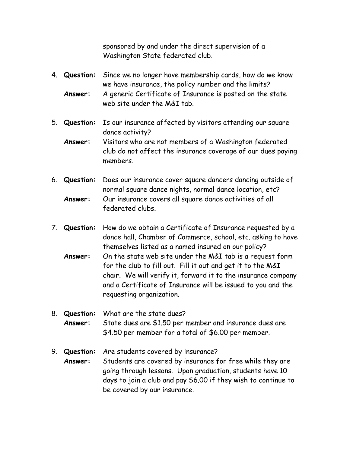sponsored by and under the direct supervision of a Washington State federated club.

- 4. **Question:** Since we no longer have membership cards, how do we know we have insurance, the policy number and the limits? **Answer:** A generic Certificate of Insurance is posted on the state web site under the M&I tab.
- 5. **Question:** Is our insurance affected by visitors attending our square dance activity?
	- **Answer:** Visitors who are not members of a Washington federated club do not affect the insurance coverage of our dues paying members.
- 6. **Question:** Does our insurance cover square dancers dancing outside of normal square dance nights, normal dance location, etc? **Answer:** Our insurance covers all square dance activities of all federated clubs.
- 7. **Question:** How do we obtain a Certificate of Insurance requested by a dance hall, Chamber of Commerce, school, etc. asking to have themselves listed as a named insured on our policy? **Answer:** On the state web site under the M&I tab is a request form for the club to fill out. Fill it out and get it to the M&I chair. We will verify it, forward it to the insurance company and a Certificate of Insurance will be issued to you and the requesting organization.
- 8. **Question:** What are the state dues? **Answer:** State dues are \$1.50 per member and insurance dues are \$4.50 per member for a total of \$6.00 per member.
- 9. **Question:** Are students covered by insurance? **Answer:** Students are covered by insurance for free while they are going through lessons. Upon graduation, students have 10 days to join a club and pay \$6.00 if they wish to continue to be covered by our insurance.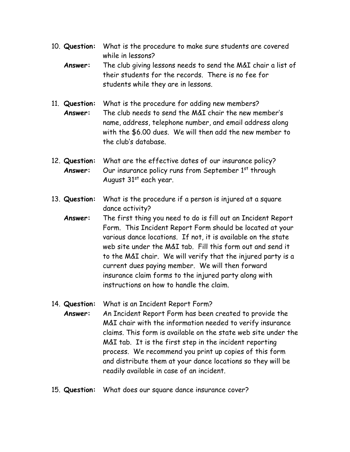- 10. **Question:** What is the procedure to make sure students are covered while in lessons?
	- **Answer:** The club giving lessons needs to send the M&I chair a list of their students for the records. There is no fee for students while they are in lessons.
- 11. **Question:** What is the procedure for adding new members? **Answer:** The club needs to send the M&I chair the new member's name, address, telephone number, and email address along with the \$6.00 dues. We will then add the new member to the club's database.
- 12. **Question:** What are the effective dates of our insurance policy? Answer: Our insurance policy runs from September 1<sup>st</sup> through August  $31<sup>st</sup>$  each year.
- 13. **Question:** What is the procedure if a person is injured at a square dance activity?
	- **Answer:** The first thing you need to do is fill out an Incident Report Form. This Incident Report Form should be located at your various dance locations. If not, it is available on the state web site under the M&I tab. Fill this form out and send it to the M&I chair. We will verify that the injured party is a current dues paying member. We will then forward insurance claim forms to the injured party along with instructions on how to handle the claim.
- 14. **Question:** What is an Incident Report Form? **Answer:** An Incident Report Form has been created to provide the M&I chair with the information needed to verify insurance claims. This form is available on the state web site under the M&I tab. It is the first step in the incident reporting process. We recommend you print up copies of this form and distribute them at your dance locations so they will be readily available in case of an incident.
- 15. **Question:** What does our square dance insurance cover?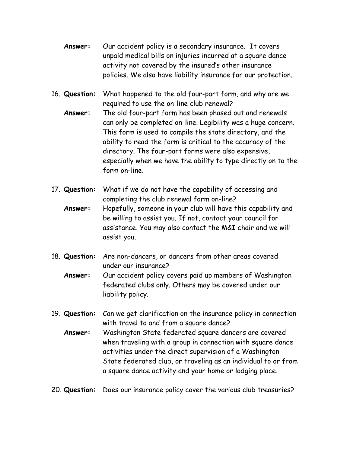- **Answer:** Our accident policy is a secondary insurance. It covers unpaid medical bills on injuries incurred at a square dance activity not covered by the insured's other insurance policies. We also have liability insurance for our protection.
- 16. **Question:** What happened to the old four-part form, and why are we required to use the on-line club renewal?
	- **Answer:** The old four-part form has been phased out and renewals can only be completed on-line. Legibility was a huge concern. This form is used to compile the state directory, and the ability to read the form is critical to the accuracy of the directory. The four-part forms were also expensive, especially when we have the ability to type directly on to the form on-line.
- 17. **Question:** What if we do not have the capability of accessing and completing the club renewal form on-line? **Answer:** Hopefully, someone in your club will have this capability and be willing to assist you. If not, contact your council for assistance. You may also contact the M&I chair and we will assist you.
- 18. **Question:** Are non-dancers, or dancers from other areas covered under our insurance?
	- **Answer:** Our accident policy covers paid up members of Washington federated clubs only. Others may be covered under our liability policy.
- 19. **Question:** Can we get clarification on the insurance policy in connection with travel to and from a square dance?
	- **Answer:** Washington State federated square dancers are covered when traveling with a group in connection with square dance activities under the direct supervision of a Washington State federated club, or traveling as an individual to or from a square dance activity and your home or lodging place.
- 20. **Question:** Does our insurance policy cover the various club treasuries?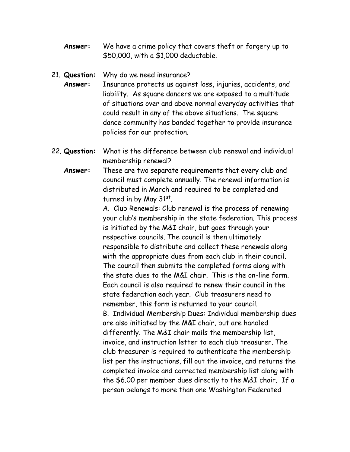**Answer:** We have a crime policy that covers theft or forgery up to \$50,000, with a \$1,000 deductable.

## 21. **Question:** Why do we need insurance?

**Answer:** Insurance protects us against loss, injuries, accidents, and liability. As square dancers we are exposed to a multitude of situations over and above normal everyday activities that could result in any of the above situations. The square dance community has banded together to provide insurance policies for our protection.

- 22. **Question:** What is the difference between club renewal and individual membership renewal?
	- **Answer:** These are two separate requirements that every club and council must complete annually. The renewal information is distributed in March and required to be completed and turned in by May 31st.

A. Club Renewals: Club renewal is the process of renewing your club's membership in the state federation. This process is initiated by the M&I chair, but goes through your respective councils. The council is then ultimately responsible to distribute and collect these renewals along with the appropriate dues from each club in their council. The council then submits the completed forms along with the state dues to the M&I chair. This is the on-line form. Each council is also required to renew their council in the state federation each year. Club treasurers need to remember, this form is returned to your council. B. Individual Membership Dues: Individual membership dues are also initiated by the M&I chair, but are handled differently. The M&I chair mails the membership list, invoice, and instruction letter to each club treasurer. The club treasurer is required to authenticate the membership list per the instructions, fill out the invoice, and returns the completed invoice and corrected membership list along with the \$6.00 per member dues directly to the M&I chair. If a person belongs to more than one Washington Federated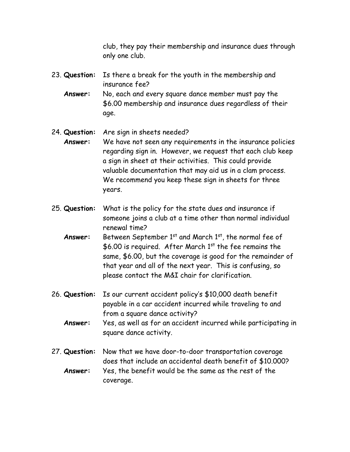club, they pay their membership and insurance dues through only one club.

- 23. **Question:** Is there a break for the youth in the membership and insurance fee?
	- **Answer:** No, each and every square dance member must pay the \$6.00 membership and insurance dues regardless of their age.
- 24. **Question:** Are sign in sheets needed?
- **Answer:** We have not seen any requirements in the insurance policies regarding sign in. However, we request that each club keep a sign in sheet at their activities. This could provide valuable documentation that may aid us in a clam process. We recommend you keep these sign in sheets for three years.
- 25. **Question:** What is the policy for the state dues and insurance if someone joins a club at a time other than normal individual renewal time?
	- **Answer:** Between September 1<sup>st</sup> and March 1<sup>st</sup>, the normal fee of  $$6.00$  is required. After March 1st the fee remains the same, \$6.00, but the coverage is good for the remainder of that year and all of the next year. This is confusing, so please contact the M&I chair for clarification.
- 26. **Question:** Is our current accident policy's \$10,000 death benefit payable in a car accident incurred while traveling to and from a square dance activity?
	- **Answer:** Yes, as well as for an accident incurred while participating in square dance activity.
- 27. **Question:** Now that we have door-to-door transportation coverage does that include an accidental death benefit of \$10.000? **Answer:** Yes, the benefit would be the same as the rest of the coverage.